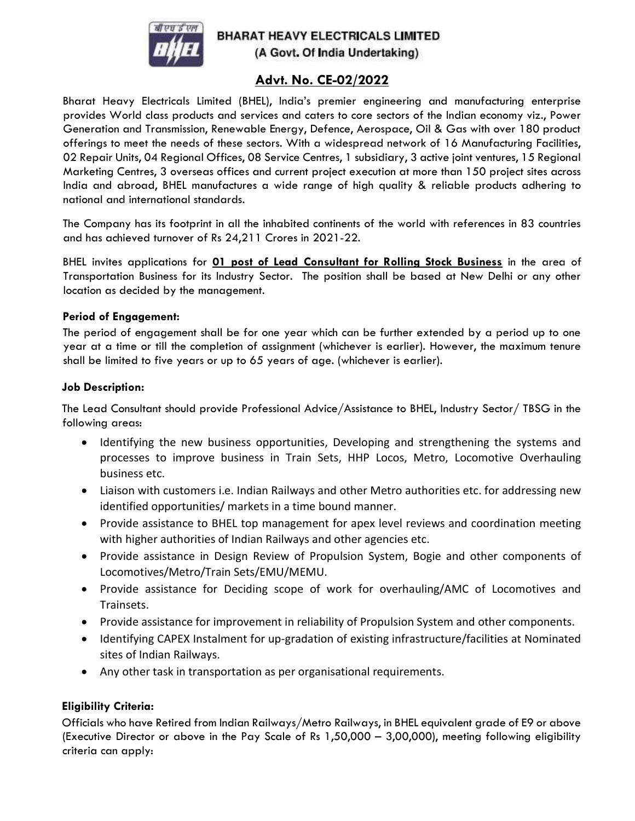

# **BHARAT HEAVY ELECTRICALS LIMITED** (A Govt. Of India Undertaking)

# Advt. No. CE-02/2022

Bharat Heavy Electricals Limited (BHEL), India's premier engineering and manufacturing enterprise provides World class products and services and caters to core sectors of the Indian economy viz., Power Generation and Transmission, Renewable Energy, Defence, Aerospace, Oil & Gas with over 180 product offerings to meet the needs of these sectors. With a widespread network of 16 Manufacturing Facilities, 02 Repair Units, 04 Regional Offices, 08 Service Centres, 1 subsidiary, 3 active joint ventures, 15 Regional Marketing Centres, 3 overseas offices and current project execution at more than 150 project sites across India and abroad, BHEL manufactures a wide range of high quality & reliable products adhering to national and international standards.

The Company has its footprint in all the inhabited continents of the world with references in 83 countries and has achieved turnover of Rs 24,211 Crores in 2021-22.

BHEL invites applications for **01 post of Lead Consultant for Rolling Stock Business** in the area of Transportation Business for its Industry Sector. The position shall be based at New Delhi or any other location as decided by the management.

#### Period of Engagement:

The period of engagement shall be for one year which can be further extended by a period up to one year at a time or till the completion of assignment (whichever is earlier). However, the maximum tenure shall be limited to five years or up to 65 years of age. (whichever is earlier).

#### Job Description:

The Lead Consultant should provide Professional Advice/Assistance to BHEL, Industry Sector/ TBSG in the following areas:

- Identifying the new business opportunities, Developing and strengthening the systems and processes to improve business in Train Sets, HHP Locos, Metro, Locomotive Overhauling business etc.
- Liaison with customers i.e. Indian Railways and other Metro authorities etc. for addressing new identified opportunities/ markets in a time bound manner.
- Provide assistance to BHEL top management for apex level reviews and coordination meeting with higher authorities of Indian Railways and other agencies etc.
- Provide assistance in Design Review of Propulsion System, Bogie and other components of Locomotives/Metro/Train Sets/EMU/MEMU.
- Provide assistance for Deciding scope of work for overhauling/AMC of Locomotives and Trainsets.
- Provide assistance for improvement in reliability of Propulsion System and other components.
- Identifying CAPEX Instalment for up-gradation of existing infrastructure/facilities at Nominated sites of Indian Railways.
- Any other task in transportation as per organisational requirements.

### Eligibility Criteria:

Officials who have Retired from Indian Railways/Metro Railways, in BHEL equivalent grade of E9 or above (Executive Director or above in the Pay Scale of Rs 1,50,000 – 3,00,000), meeting following eligibility criteria can apply: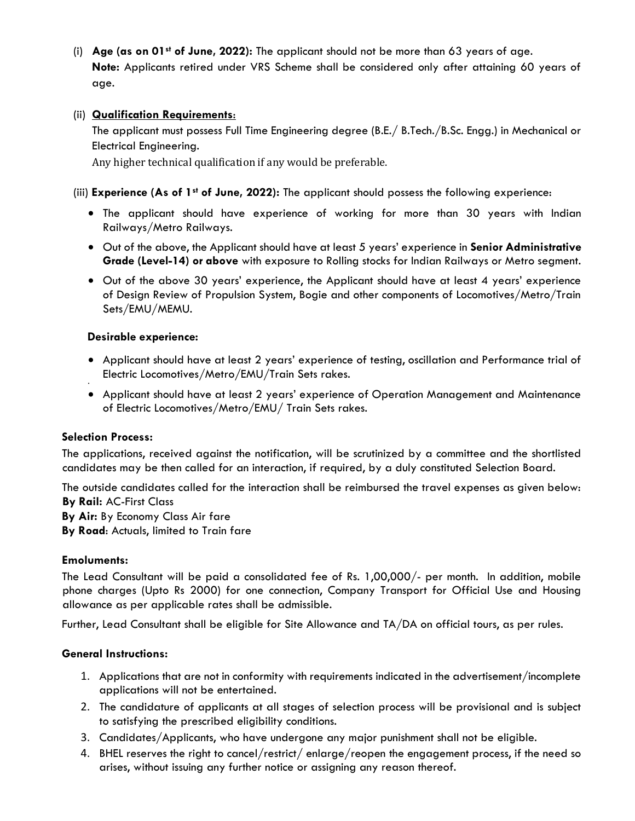(i) Age (as on 01st of June, 2022): The applicant should not be more than 63 years of age. Note: Applicants retired under VRS Scheme shall be considered only after attaining 60 years of age.

## (ii) Qualification Requirements:

The applicant must possess Full Time Engineering degree (B.E./ B.Tech./B.Sc. Engg.) in Mechanical or Electrical Engineering.

Any higher technical qualification if any would be preferable.

(iii) Experience (As of 1<sup>st</sup> of June, 2022): The applicant should possess the following experience:

- The applicant should have experience of working for more than 30 years with Indian Railways/Metro Railways.
- Out of the above, the Applicant should have at least 5 years' experience in Senior Administrative Grade (Level-14) or above with exposure to Rolling stocks for Indian Railways or Metro segment.
- Out of the above 30 years' experience, the Applicant should have at least 4 years' experience of Design Review of Propulsion System, Bogie and other components of Locomotives/Metro/Train Sets/EMU/MEMU.

### Desirable experience:

- Applicant should have at least 2 years' experience of testing, oscillation and Performance trial of Electric Locomotives/Metro/EMU/Train Sets rakes.
- Applicant should have at least 2 years' experience of Operation Management and Maintenance of Electric Locomotives/Metro/EMU/ Train Sets rakes.

### Selection Process:

.

The applications, received against the notification, will be scrutinized by a committee and the shortlisted candidates may be then called for an interaction, if required, by a duly constituted Selection Board.

The outside candidates called for the interaction shall be reimbursed the travel expenses as given below: By Rail: AC-First Class By Air: By Economy Class Air fare

By Road: Actuals, limited to Train fare

### Emoluments:

The Lead Consultant will be paid a consolidated fee of Rs. 1,00,000/- per month. In addition, mobile phone charges (Upto Rs 2000) for one connection, Company Transport for Official Use and Housing allowance as per applicable rates shall be admissible.

Further, Lead Consultant shall be eligible for Site Allowance and TA/DA on official tours, as per rules.

### General Instructions:

- 1. Applications that are not in conformity with requirements indicated in the advertisement/incomplete applications will not be entertained.
- 2. The candidature of applicants at all stages of selection process will be provisional and is subject to satisfying the prescribed eligibility conditions.
- 3. Candidates/Applicants, who have undergone any major punishment shall not be eligible.
- 4. BHEL reserves the right to cancel/restrict/ enlarge/reopen the engagement process, if the need so arises, without issuing any further notice or assigning any reason thereof.